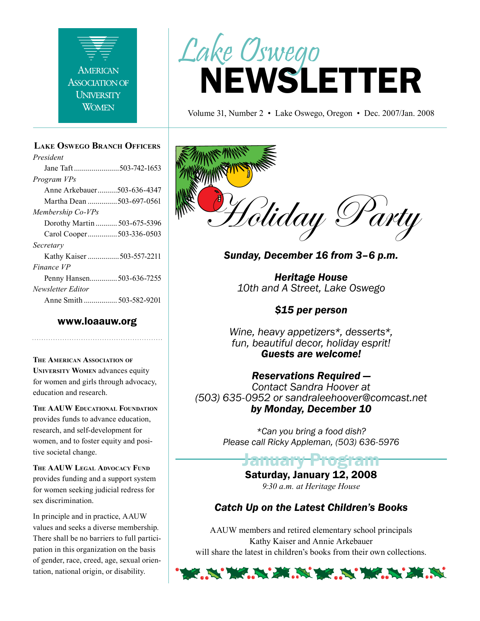

#### **Lake Oswego Branch Officers**

*President* Jane Taft .......................503-742-1653 *Program VPs* Anne Arkebauer..........503-636-4347 Martha Dean ...............503-697-0561 *Membership Co-VPs* Dorothy Martin ........... 503-675-5396 Carol Cooper...............503-336-0503 *Secretary* Kathy Kaiser ................503-557-2211 *Finance VP* Penny Hansen..............503-636-7255 *Newsletter Editor* Anne Smith ................. 503-582-9201

#### www.loaauw.org

**The American Association of University Women** advances equity for women and girls through advocacy, education and research.

**The AAUW Educational Foundation** provides funds to advance education, research, and self-development for women, and to foster equity and positive societal change.

**The AAUW Legal Advocacy Fund** provides funding and a support system for women seeking judicial redress for sex discrimination.

In principle and in practice, AAUW values and seeks a diverse membership. There shall be no barriers to full participation in this organization on the basis of gender, race, creed, age, sexual orientation, national origin, or disability.

# NEWSLETTER Lake Oswego

Volume 31, Number 2 • Lake Oswego, Oregon • Dec. 2007/Jan. 2008



*Sunday, December 16 from 3–6 p.m.*

*Heritage House 10th and A Street, Lake Oswego*

#### *\$15 per person*

*Wine, heavy appetizers\*, desserts\*, fun, beautiful decor, holiday esprit! Guests are welcome!*

#### *Reservations Required —*

*Contact Sandra Hoover at (503) 635-0952 or sandraleehoover@comcast.net by Monday, December 10*

> *\*Can you bring a food dish? Please call Ricky Appleman, (503) 636-5976*

#### Jainuary Saturday, January 12, 2008

*9:30 a.m. at Heritage House*

#### *Catch Up on the Latest Children's Books*

AAUW members and retired elementary school principals Kathy Kaiser and Annie Arkebauer will share the latest in children's books from their own collections.

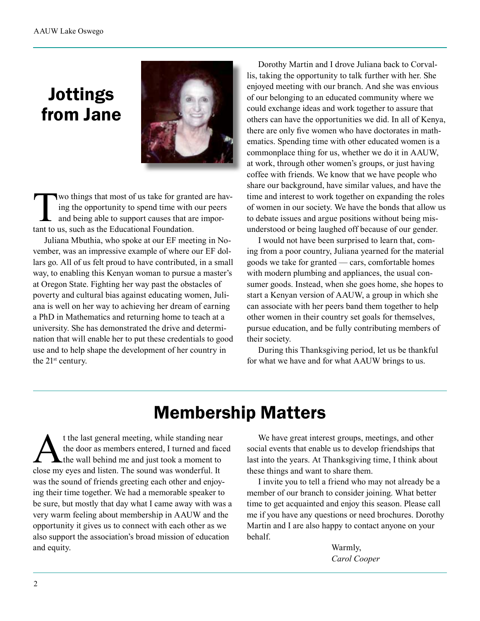### Jottings from Jane



Two things that most of us take for granted are having the opportunity to spend time with our peers<br>and being able to support causes that are impor-<br>tant to us, such as the Educational Foundation ing the opportunity to spend time with our peers and being able to support causes that are important to us, such as the Educational Foundation.

Juliana Mbuthia, who spoke at our EF meeting in November, was an impressive example of where our EF dollars go. All of us felt proud to have contributed, in a small way, to enabling this Kenyan woman to pursue a master's at Oregon State. Fighting her way past the obstacles of poverty and cultural bias against educating women, Juliana is well on her way to achieving her dream of earning a PhD in Mathematics and returning home to teach at a university. She has demonstrated the drive and determination that will enable her to put these credentials to good use and to help shape the development of her country in the 21st century.

Dorothy Martin and I drove Juliana back to Corvallis, taking the opportunity to talk further with her. She enjoyed meeting with our branch. And she was envious of our belonging to an educated community where we could exchange ideas and work together to assure that others can have the opportunities we did. In all of Kenya, there are only five women who have doctorates in mathematics. Spending time with other educated women is a commonplace thing for us, whether we do it in AAUW, at work, through other women's groups, or just having coffee with friends. We know that we have people who share our background, have similar values, and have the time and interest to work together on expanding the roles of women in our society. We have the bonds that allow us to debate issues and argue positions without being misunderstood or being laughed off because of our gender.

I would not have been surprised to learn that, coming from a poor country, Juliana yearned for the material goods we take for granted — cars, comfortable homes with modern plumbing and appliances, the usual consumer goods. Instead, when she goes home, she hopes to start a Kenyan version of AAUW, a group in which she can associate with her peers band them together to help other women in their country set goals for themselves, pursue education, and be fully contributing members of their society.

During this Thanksgiving period, let us be thankful for what we have and for what AAUW brings to us.

### Membership Matters

t the last general meeting, while standing near<br>the door as members entered, I turned and face<br>the wall behind me and just took a moment to<br>close my eyes and listen. The sound was wonderful. It the door as members entered, I turned and faced the wall behind me and just took a moment to close my eyes and listen. The sound was wonderful. It was the sound of friends greeting each other and enjoying their time together. We had a memorable speaker to be sure, but mostly that day what I came away with was a very warm feeling about membership in AAUW and the opportunity it gives us to connect with each other as we also support the association's broad mission of education and equity.

We have great interest groups, meetings, and other social events that enable us to develop friendships that last into the years. At Thanksgiving time, I think about these things and want to share them.

I invite you to tell a friend who may not already be a member of our branch to consider joining. What better time to get acquainted and enjoy this season. Please call me if you have any questions or need brochures. Dorothy Martin and I are also happy to contact anyone on your behalf.

> Warmly,  *Carol Cooper*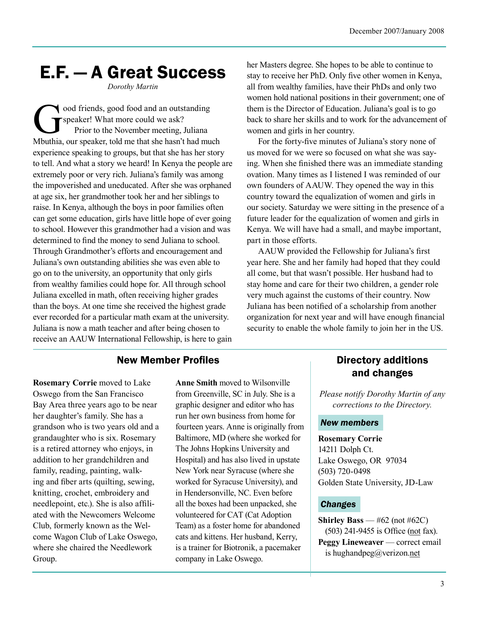# E.F. — A Great Success

*Dorothy Martin*

ood friends, good food and an outstanding speaker! What more could we ask? Prior to the November meeting, Juliana Mbuthia, our speaker, told me that she hasn't had much experience speaking to groups, but that she has her story to tell. And what a story we heard! In Kenya the people are extremely poor or very rich. Juliana's family was among the impoverished and uneducated. After she was orphaned at age six, her grandmother took her and her siblings to raise. In Kenya, although the boys in poor families often can get some education, girls have little hope of ever going to school. However this grandmother had a vision and was determined to find the money to send Juliana to school. Through Grandmother's efforts and encouragement and Juliana's own outstanding abilities she was even able to go on to the university, an opportunity that only girls from wealthy families could hope for. All through school Juliana excelled in math, often receiving higher grades than the boys. At one time she received the highest grade ever recorded for a particular math exam at the university. Juliana is now a math teacher and after being chosen to receive an AAUW International Fellowship, is here to gain her Masters degree. She hopes to be able to continue to stay to receive her PhD. Only five other women in Kenya, all from wealthy families, have their PhDs and only two women hold national positions in their government; one of them is the Director of Education. Juliana's goal is to go back to share her skills and to work for the advancement of women and girls in her country.

For the forty-five minutes of Juliana's story none of us moved for we were so focused on what she was saying. When she finished there was an immediate standing ovation. Many times as I listened I was reminded of our own founders of AAUW. They opened the way in this country toward the equalization of women and girls in our society. Saturday we were sitting in the presence of a future leader for the equalization of women and girls in Kenya. We will have had a small, and maybe important, part in those efforts.

AAUW provided the Fellowship for Juliana's first year here. She and her family had hoped that they could all come, but that wasn't possible. Her husband had to stay home and care for their two children, a gender role very much against the customs of their country. Now Juliana has been notified of a scholarship from another organization for next year and will have enough financial security to enable the whole family to join her in the US.

#### New Member Profiles

**Rosemary Corrie** moved to Lake Oswego from the San Francisco Bay Area three years ago to be near her daughter's family. She has a grandson who is two years old and a grandaughter who is six. Rosemary is a retired attorney who enjoys, in addition to her grandchildren and family, reading, painting, walking and fiber arts (quilting, sewing, knitting, crochet, embroidery and needlepoint, etc.). She is also affiliated with the Newcomers Welcome Club, formerly known as the Welcome Wagon Club of Lake Oswego, where she chaired the Needlework Group.

**Anne Smith** moved to Wilsonville from Greenville, SC in July. She is a graphic designer and editor who has run her own business from home for fourteen years. Anne is originally from Baltimore, MD (where she worked for The Johns Hopkins University and Hospital) and has also lived in upstate New York near Syracuse (where she worked for Syracuse University), and in Hendersonville, NC. Even before all the boxes had been unpacked, she volunteered for CAT (Cat Adoption Team) as a foster home for abandoned cats and kittens. Her husband, Kerry, is a trainer for Biotronik, a pacemaker company in Lake Oswego.

#### Directory additions and changes

*Please notify Dorothy Martin of any corrections to the Directory.*

#### *New members*

**Rosemary Corrie** 14211 Dolph Ct. Lake Oswego, OR 97034 (503) 720-0498 Golden State University, JD-Law

#### *Changes*

**Shirley Bass** —  $#62$  (not  $#62C$ ) (503) 241-9455 is Office (not fax). **Peggy Lineweaver** — correct email is hughandpeg@verizon.net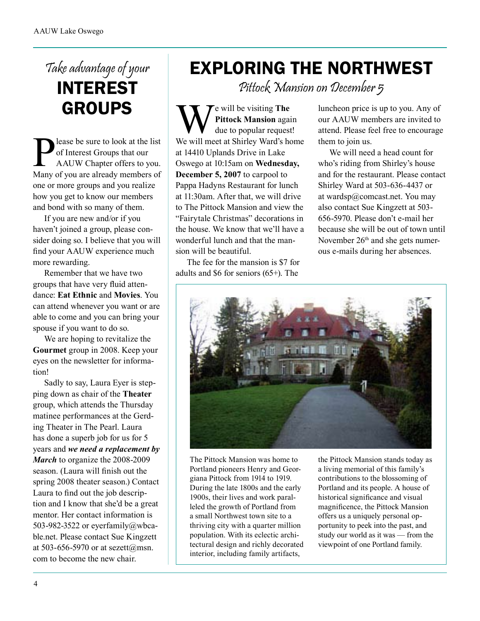### Take advantage of your INTEREST GROUPS

Please be sure to look at the list<br>of Interest Groups that our<br>AAUW Chapter offers to you.<br>Many of you are already members of of Interest Groups that our AAUW Chapter offers to you. Many of you are already members of one or more groups and you realize how you get to know our members and bond with so many of them.

If you are new and/or if you haven't joined a group, please consider doing so. I believe that you will find your AAUW experience much more rewarding.

Remember that we have two groups that have very fluid attendance: **Eat Ethnic** and **Movies**. You can attend whenever you want or are able to come and you can bring your spouse if you want to do so.

We are hoping to revitalize the **Gourmet** group in 2008. Keep your eyes on the newsletter for information!

Sadly to say, Laura Eyer is stepping down as chair of the **Theater** group, which attends the Thursday matinee performances at the Gerding Theater in The Pearl. Laura has done a superb job for us for 5 years and *we need a replacement by March* to organize the 2008-2009 season. (Laura will finish out the spring 2008 theater season.) Contact Laura to find out the job description and I know that she'd be a great mentor. Her contact information is 503-982-3522 or eyerfamily@wbcable.net. Please contact Sue Kingzett at 503-656-5970 or at sezett@msn. com to become the new chair.

## EXPLORING THE NORTHWEST

Pittock Mansion on December 5

We will be visiting The<br>
We will meet at Shirley Ward's home<br>
We will meet at Shirley Ward's home **Pittock Mansion** again due to popular request! at 14410 Uplands Drive in Lake Oswego at 10:15am on **Wednesday, December 5, 2007** to carpool to Pappa Hadyns Restaurant for lunch at 11:30am. After that, we will drive to The Pittock Mansion and view the "Fairytale Christmas" decorations in the house. We know that we'll have a wonderful lunch and that the mansion will be beautiful.

The fee for the mansion is \$7 for adults and \$6 for seniors (65+). The

luncheon price is up to you. Any of our AAUW members are invited to attend. Please feel free to encourage them to join us.

We will need a head count for who's riding from Shirley's house and for the restaurant. Please contact Shirley Ward at 503-636-4437 or at wardsp@comcast.net. You may also contact Sue Kingzett at 503- 656-5970. Please don't e-mail her because she will be out of town until November 26<sup>th</sup> and she gets numerous e-mails during her absences.



The Pittock Mansion was home to Portland pioneers Henry and Georgiana Pittock from 1914 to 1919. During the late 1800s and the early 1900s, their lives and work paralleled the growth of Portland from a small Northwest town site to a thriving city with a quarter million population. With its eclectic architectural design and richly decorated interior, including family artifacts,

the Pittock Mansion stands today as a living memorial of this family's contributions to the blossoming of Portland and its people. A house of historical significance and visual magnificence, the Pittock Mansion offers us a uniquely personal opportunity to peek into the past, and study our world as it was — from the viewpoint of one Portland family.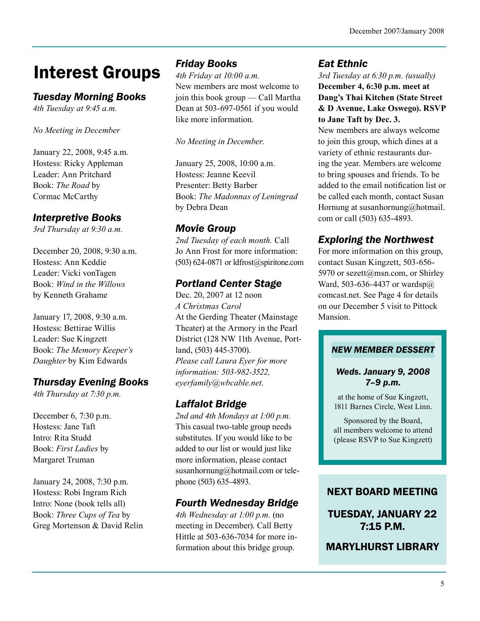# Interest Groups

#### *Tuesday Morning Books*

*4th Tuesday at 9:45 a.m.*

*No Meeting in December*

January 22, 2008, 9:45 a.m. Hostess: Ricky Appleman Leader: Ann Pritchard Book: *The Road* by Cormac McCarthy

#### *Interpretive Books*

*3rd Thursday at 9:30 a.m.*

December 20, 2008, 9:30 a.m. Hostess: Ann Keddie Leader: Vicki vonTagen Book: *Wind in the Willows*  by Kenneth Grahame

January 17, 2008, 9:30 a.m. Hostess: Bettirae Willis Leader: Sue Kingzett Book: *The Memory Keeper's Daughter* by Kim Edwards

#### *Thursday Evening Books*

*4th Thursday at 7:30 p.m.*

December 6, 7:30 p.m. Hostess: Jane Taft Intro: Rita Studd Book: *First Ladies* by Margaret Truman

January 24, 2008, 7:30 p.m. Hostess: Robi Ingram Rich Intro: None (book tells all) Book: *Three Cups of Tea* by Greg Mortenson & David Relin

#### *Friday Books*

*4th Friday at 10:00 a.m.* New members are most welcome to join this book group — Call Martha Dean at 503-697-0561 if you would like more information.

*No Meeting in December.*

January 25, 2008, 10:00 a.m. Hostess: Jeanne Keevil Presenter: Betty Barber Book: *The Madonnas of Leningrad* by Debra Dean

#### *Movie Group*

*2nd Tuesday of each month.* Call Jo Ann Frost for more information:  $(503)$  624-0871 or ldfrost@spiritone.com

#### *Portland Center Stage*

Dec. 20, 2007 at 12 noon *A Christmas Carol* At the Gerding Theater (Mainstage Theater) at the Armory in the Pearl District (128 NW 11th Avenue, Portland, (503) 445-3700). *Please call Laura Eyer for more information: 503-982-3522, eyerfamily@wbcable.net.*

#### *Laffalot Bridge*

*2nd and 4th Mondays at 1:00 p.m.* This casual two-table group needs substitutes. If you would like to be added to our list or would just like more information, please contact susanhornung@hotmail.com or telephone (503) 635-4893.

#### *Fourth Wednesday Bridge*

*4th Wednesday at 1:00 p.m.* (no meeting in December). Call Betty Hittle at 503-636-7034 for more information about this bridge group.

#### *Eat Ethnic*

*3rd Tuesday at 6:30 p.m. (usually)* **December 4, 6:30 p.m. meet at Dang's Thai Kitchen (State Street & D Avenue, Lake Oswego). RSVP to Jane Taft by Dec. 3.**

New members are always welcome to join this group, which dines at a variety of ethnic restaurants during the year. Members are welcome to bring spouses and friends. To be added to the email notification list or be called each month, contact Susan Hornung at susanhornung@hotmail. com or call (503) 635-4893.

#### *Exploring the Northwest*

For more information on this group, contact Susan Kingzett, 503-656- 5970 or sezett@msn.com, or Shirley Ward, 503-636-4437 or wardsp@ comcast.net. See Page 4 for details on our December 5 visit to Pittock Mansion.

#### *NEW MEMBER DESSERT*

#### *Weds. January 9, 2008 7–9 p.m.*

at the home of Sue Kingzett, 1811 Barnes Circle, West Linn.

Sponsored by the Board, all members welcome to attend (please RSVP to Sue Kingzett)

#### NEXT BOARD MEETING

TUESDAY, JANUARY 22 7:15 P.M.

MARYLHURST LIBRARY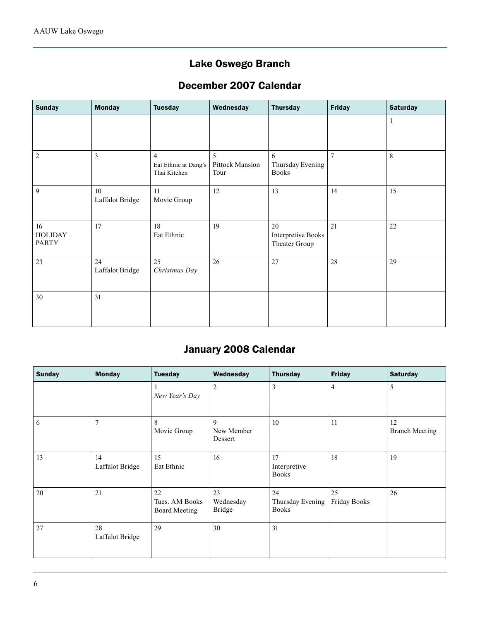#### Lake Oswego Branch

#### December 2007 Calendar

| <b>Sunday</b>                        | <b>Monday</b>         | <b>Tuesday</b>                                         | Wednesday                    | <b>Thursday</b>                                  | <b>Friday</b>  | <b>Saturday</b> |
|--------------------------------------|-----------------------|--------------------------------------------------------|------------------------------|--------------------------------------------------|----------------|-----------------|
|                                      |                       |                                                        |                              |                                                  |                | 1               |
| $\overline{c}$                       | 3                     | $\overline{4}$<br>Eat Ethnic at Dang's<br>Thai Kitchen | 5<br>Pittock Mansion<br>Tour | 6<br>Thursday Evening<br><b>Books</b>            | $\overline{7}$ | 8               |
| 9                                    | 10<br>Laffalot Bridge | 11<br>Movie Group                                      | 12                           | 13                                               | 14             | 15              |
| 16<br><b>HOLIDAY</b><br><b>PARTY</b> | 17                    | 18<br>Eat Ethnic                                       | 19                           | 20<br><b>Interpretive Books</b><br>Theater Group | 21             | 22              |
| 23                                   | 24<br>Laffalot Bridge | 25<br>Christmas Day                                    | 26                           | 27                                               | 28             | 29              |
| 30                                   | 31                    |                                                        |                              |                                                  |                |                 |

#### January 2008 Calendar

| <b>Sunday</b> | <b>Monday</b>         | <b>Tuesday</b>                               | Wednesday                        | <b>Thursday</b>                        | <b>Friday</b>      | <b>Saturday</b>             |
|---------------|-----------------------|----------------------------------------------|----------------------------------|----------------------------------------|--------------------|-----------------------------|
|               |                       | New Year's Day                               | $\sqrt{2}$                       | 3                                      | 4                  | 5                           |
| 6             | $\overline{7}$        | 8<br>Movie Group                             | 9<br>New Member<br>Dessert       | 10                                     | 11                 | 12<br><b>Branch Meeting</b> |
| 13            | 14<br>Laffalot Bridge | 15<br>Eat Ethnic                             | 16                               | 17<br>Interpretive<br><b>Books</b>     | 18                 | 19                          |
| 20            | 21                    | 22<br>Tues. AM Books<br><b>Board Meeting</b> | 23<br>Wednesday<br><b>Bridge</b> | 24<br>Thursday Evening<br><b>Books</b> | 25<br>Friday Books | 26                          |
| 27            | 28<br>Laffalot Bridge | 29                                           | 30                               | 31                                     |                    |                             |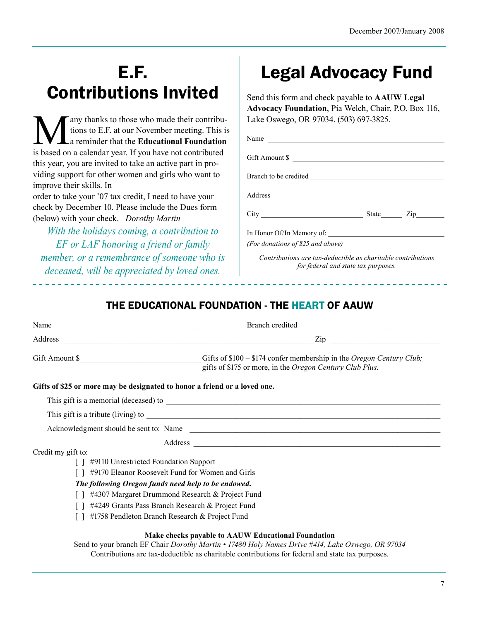# E.F. Contributions Invited

any thanks to those who made their contributions to E.F. at our November meeting. This is a reminder that the **Educational Foundation** is based on a calendar year. If you have not contributed this year, you are invited to take an active part in providing support for other women and girls who want to improve their skills. In

order to take your '07 tax credit, I need to have your check by December 10. Please include the Dues form (below) with your check. *Dorothy Martin*

*With the holidays coming, a contribution to EF or LAF honoring a friend or family member, or a remembrance of someone who is deceased, will be appreciated by loved ones.* 

# Legal Advocacy Fund

Send this form and check payable to **AAUW Legal Advocacy Foundation**, Pia Welch, Chair, P.O. Box 116, Lake Oswego, OR 97034. (503) 697-3825.

| Name                                                           |  |
|----------------------------------------------------------------|--|
| Gift Amount \$                                                 |  |
|                                                                |  |
|                                                                |  |
|                                                                |  |
| In Honor Of/In Memory of:<br>(For donations of \$25 and above) |  |

*Contributions are tax-deductible as charitable contributions for federal and state tax purposes.*

#### THE EDUCATIONAL FOUNDATION - THE HEART OF AAUW

|                    | Gifts of \$100 - \$174 confer membership in the Oregon Century Club;<br>Gifts of \$100 - \$174 confer membership in the Oregon Century Club;<br>gifts of \$175 or more, in the Oregon Century Club Plus. |
|--------------------|----------------------------------------------------------------------------------------------------------------------------------------------------------------------------------------------------------|
|                    | Gifts of \$25 or more may be designated to honor a friend or a loved one.                                                                                                                                |
|                    |                                                                                                                                                                                                          |
|                    |                                                                                                                                                                                                          |
|                    | Acknowledgment should be sent to: Name                                                                                                                                                                   |
|                    |                                                                                                                                                                                                          |
| Credit my gift to: |                                                                                                                                                                                                          |
|                    | [] #9110 Unrestricted Foundation Support                                                                                                                                                                 |
|                    | #9170 Eleanor Roosevelt Fund for Women and Girls                                                                                                                                                         |
|                    | The following Oregon funds need help to be endowed.                                                                                                                                                      |
|                    | #4307 Margaret Drummond Research & Project Fund                                                                                                                                                          |
|                    | #4249 Grants Pass Branch Research & Project Fund                                                                                                                                                         |
|                    | #1758 Pendleton Branch Research & Project Fund                                                                                                                                                           |
|                    | Make checks payable to AAUW Educational Foundation                                                                                                                                                       |
|                    | Send to your branch EF Chair Dorothy Martin • 17480 Holy Names Drive #414, Lake Oswego, OR 97034                                                                                                         |

Contributions are tax-deductible as charitable contributions for federal and state tax purposes.